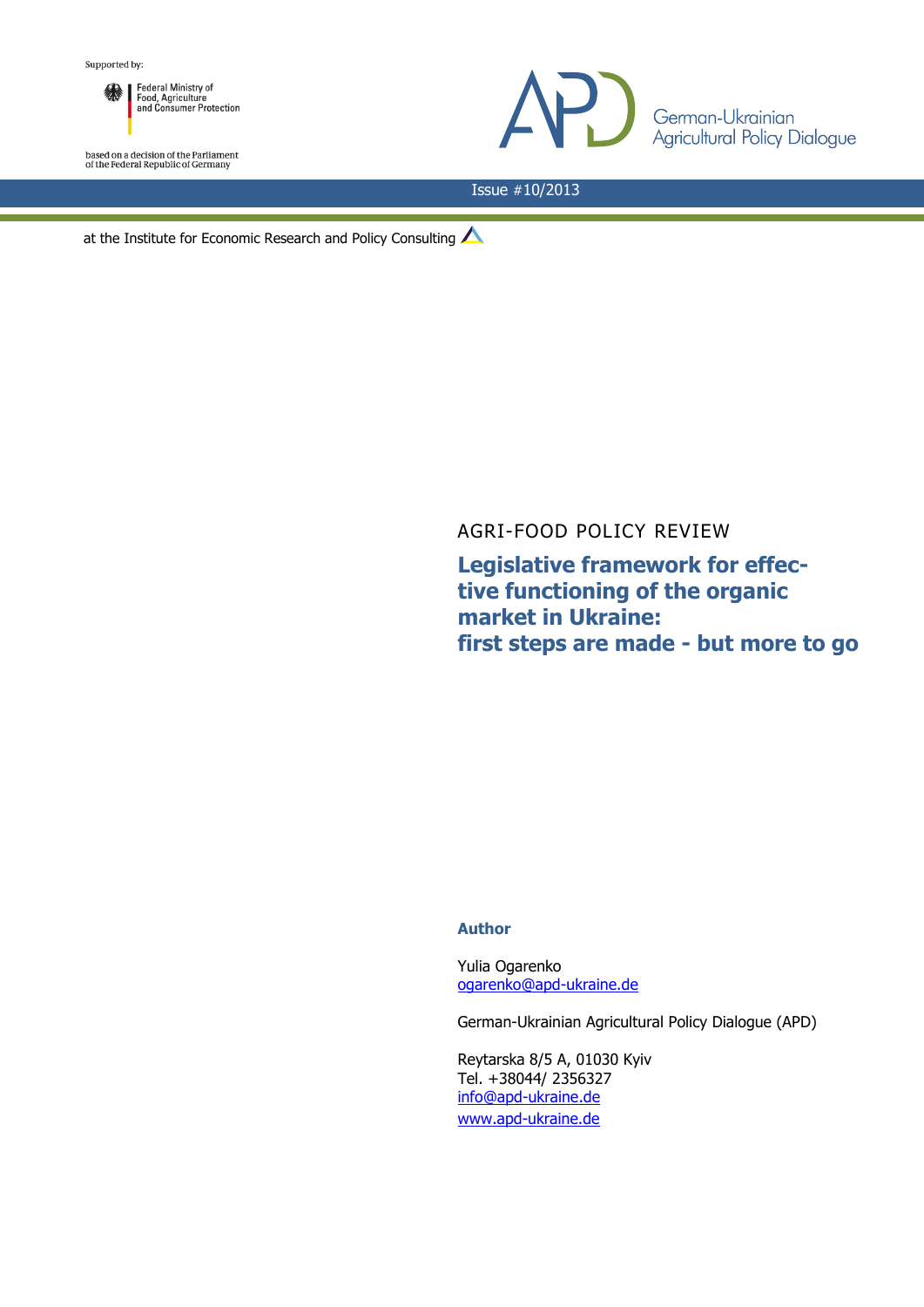

based on a decision of the Parliament<br>of the Federal Republic of Germany



Issue #10/2013

at the Institute for Economic Research and Policy Consulting

AGRI-FOOD POLICY REVIEW

**Legislative framework for effective functioning of the organic market in Ukraine: first steps are made - but more to go**

## **Author**

Yulia Ogarenko [ogarenko@apd-ukraine.de](mailto:ogarenko@apd-ukraine.de)

German-Ukrainian Agricultural Policy Dialogue (APD)

Reytarska 8/5 A, 01030 Kyiv Tel. +38044/ 2356327 [info@apd-ukraine.de](mailto:info@apd-ukraine.de) [www.apd-ukraine.de](http://www.apd-ukraine.de/)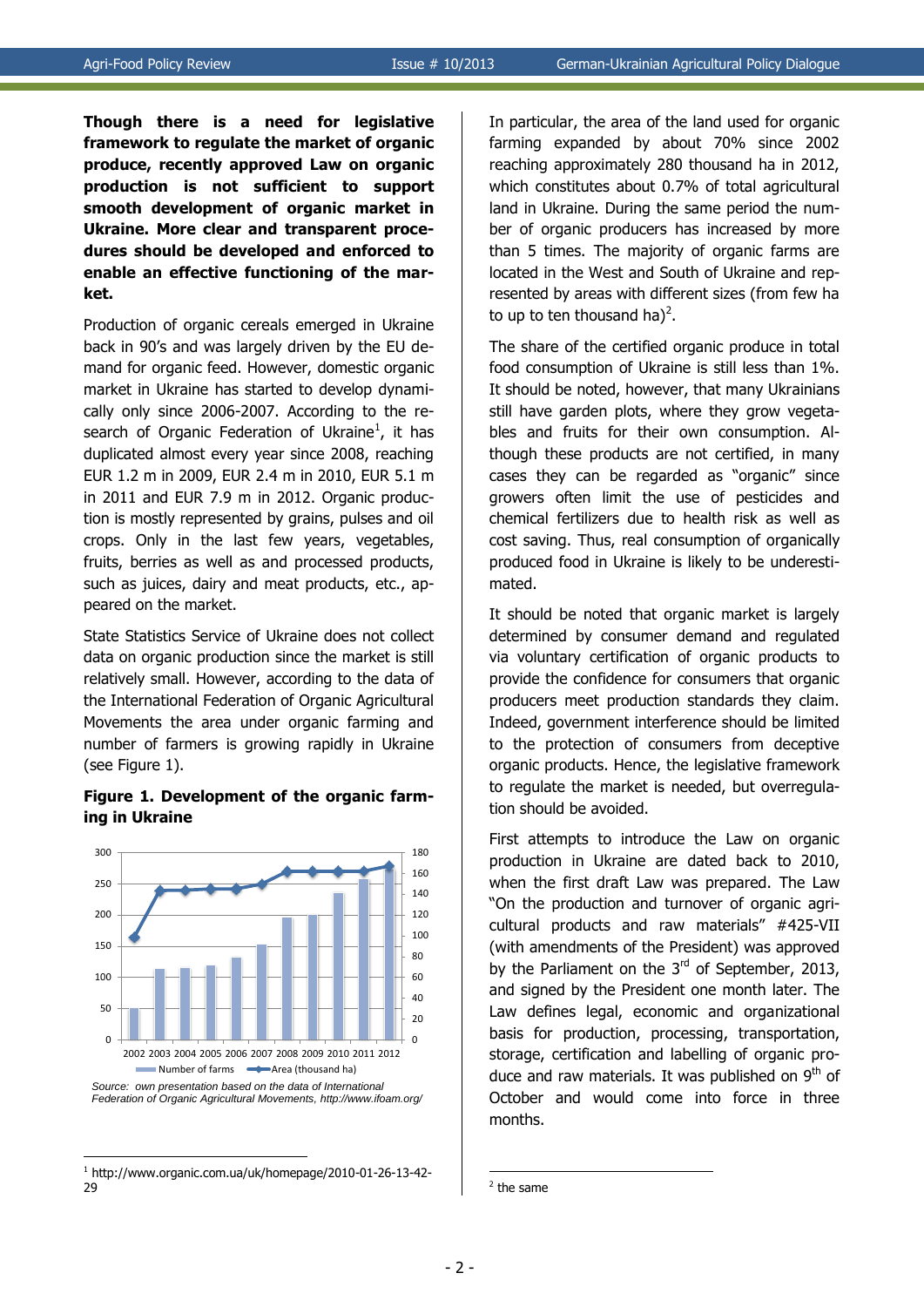**Though there is a need for legislative framework to regulate the market of organic produce, recently approved Law on organic production is not sufficient to support smooth development of organic market in Ukraine. More clear and transparent procedures should be developed and enforced to enable an effective functioning of the market.**

Production of organic cereals emerged in Ukraine back in 90's and was largely driven by the EU demand for organic feed. However, domestic organic market in Ukraine has started to develop dynamically only since 2006-2007. According to the research of Organic Federation of Ukraine<sup>1</sup>, it has duplicated almost every year since 2008, reaching EUR 1.2 m in 2009, EUR 2.4 m in 2010, EUR 5.1 m in 2011 and EUR 7.9 m in 2012. Organic production is mostly represented by grains, pulses and oil crops. Only in the last few years, vegetables, fruits, berries as well as and processed products, such as juices, dairy and meat products, etc., appeared on the market.

State Statistics Service of Ukraine does not collect data on organic production since the market is still relatively small. However, according to the data of the International Federation of Organic Agricultural Movements the area under organic farming and number of farmers is growing rapidly in Ukraine (see Figure 1).

## **Figure 1. Development of the organic farming in Ukraine**



<sup>1</sup> http://www.organic.com.ua/uk/homepage/2010-01-26-13-42- 29

1

In particular, the area of the land used for organic farming expanded by about 70% since 2002 reaching approximately 280 thousand ha in 2012, which constitutes about 0.7% of total agricultural land in Ukraine. During the same period the number of organic producers has increased by more than 5 times. The majority of organic farms are located in the West and South of Ukraine and represented by areas with different sizes (from few ha to up to ten thousand ha)<sup>2</sup>.

The share of the certified organic produce in total food consumption of Ukraine is still less than 1%. It should be noted, however, that many Ukrainians still have garden plots, where they grow vegetables and fruits for their own consumption. Although these products are not certified, in many cases they can be regarded as "organic" since growers often limit the use of pesticides and chemical fertilizers due to health risk as well as cost saving. Thus, real consumption of organically produced food in Ukraine is likely to be underestimated.

It should be noted that organic market is largely determined by consumer demand and regulated via voluntary certification of organic products to provide the confidence for consumers that organic producers meet production standards they claim. Indeed, government interference should be limited to the protection of consumers from deceptive organic products. Hence, the legislative framework to regulate the market is needed, but overregulation should be avoided.

First attempts to introduce the Law on organic production in Ukraine are dated back to 2010, when the first draft Law was prepared. The Law "On the production and turnover of organic agricultural products and raw materials" #425-VII (with amendments of the President) was approved by the Parliament on the  $3<sup>rd</sup>$  of September, 2013, and signed by the President one month later. The Law defines legal, economic and organizational basis for production, processing, transportation, storage, certification and labelling of organic produce and raw materials. It was published on  $9<sup>th</sup>$  of October and would come into force in three months.

1

<sup>&</sup>lt;sup>2</sup> the same